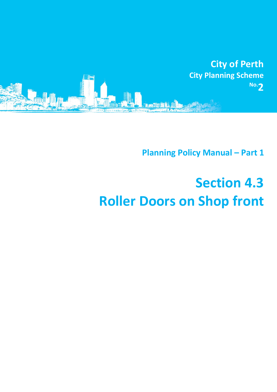

**Planning Policy Manual - Part 1** 

## **Section 4.3 Roller Doors on Shop front**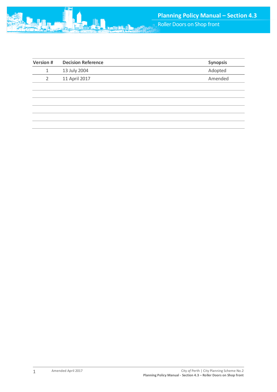| <b>Version#</b> | <b>Decision Reference</b> | <b>Synopsis</b> |
|-----------------|---------------------------|-----------------|
| 1               | 13 July 2004              | Adopted         |
| 2               | 11 April 2017             | Amended         |
|                 |                           |                 |
|                 |                           |                 |
|                 |                           |                 |
|                 |                           |                 |
|                 |                           |                 |
|                 |                           |                 |

1